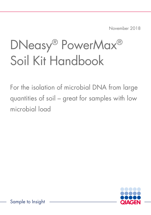November 2018

# DNeasy® PowerMax® Soil Kit Handbook

For the isolation of microbial DNA from large quantities of soil – great for samples with low microbial load

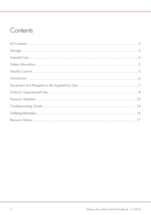### Contents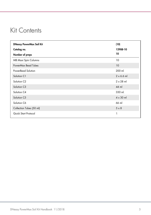### <span id="page-2-0"></span>Kit Contents

| <b>DNeasy PowerMax Soil Kit</b> | (10)              |
|---------------------------------|-------------------|
| Catalog no.                     | 12988-10          |
| Number of preps                 | 10                |
| <b>MB Maxi Spin Columns</b>     | 10                |
| PowerMax Bead Tubes             | 10                |
| PowerBead Solution              | 200 ml            |
| Solution C1                     | $2 \times 6.6$ ml |
| Solution C <sub>2</sub>         | $2 \times 28$ ml  |
| Solution C3                     | 44 ml             |
| Solution C4                     | 330 ml            |
| Solution C <sub>5</sub>         | $4 \times 30$ ml  |
| Solution C6                     | 66 ml             |
| Collection Tubes (50 ml)        | $5 \times 8$      |
| Quick Start Protocol            | 1                 |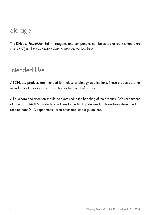### <span id="page-3-0"></span>Storage

The DNeasy PowerMax Soil Kit reagents and components can be stored at room temperature (15–25°C) until the expiration date printed on the box label.

### <span id="page-3-1"></span>Intended Use

All DNeasy products are intended for molecular biology applications. These products are not intended for the diagnosis, prevention or treatment of a disease.

All due care and attention should be exercised in the handling of the products. We recommend all users of QIAGEN products to adhere to the NIH guidelines that have been developed for recombinant DNA experiments, or to other applicable guidelines.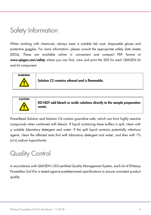## <span id="page-4-0"></span>Safety Information

When working with chemicals, always wear a suitable lab coat, disposable gloves and protective goggles. For more information, please consult the appropriate safety data sheets (SDSs). These are available online in convenient and compact PDF format at [www.qiagen.com/safety](https://www.qiagen.com/de/support/qa-qc-safety-data/safety-data-sheets/?akamai-feo=off) where you can find, view and print the SDS for each QIAGEN kit and kit component.





DO NOT add bleach or acidic solutions directly to the sample preparation waste.

PowerBead Solution and Solution C4 contain guanidine salts, which can form highly reactive compounds when combined with bleach. If liquid containing these buffers is spilt, clean with a suitable laboratory detergent and water. If the spilt liquid contains potentially infectious agents, clean the affected area first with laboratory detergent and water, and then with 1% (v/v) sodium hypochlorite.

# <span id="page-4-1"></span>Quality Control

In accordance with QIAGEN's ISO-certified Quality Management System, each lot of DNeasy PowerMax Soil Kits is tested against predetermined specifications to ensure consistent product quality.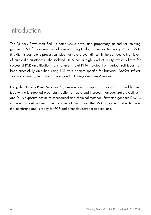### <span id="page-5-0"></span>Introduction

The DNeasy PowerMax Soil Kit comprises a novel and proprietary method for isolating genomic DNA from environmental samples using Inhibitor Removal Technology® (IRT). With this kit, it is possible to process samples that have proven difficult in the past due to high levels of humic-like substances. The isolated DNA has a high level of purity, which allows for successful PCR amplification from samples. Total DNA isolated from various soil types has been successfully amplified using PCR with primers specific for bacteria (Bacillus subtilis, Bacillus anthracis), fungi (yeast, mold) and actinomycetes (Streptomyces).

Using the DNeasy PowerMax Soil Kit, environmental samples are added to a bead beating tube with a kit-supplied proprietary buffer for rapid and thorough homogenization. Cell lysis and DNA exposure occurs by mechanical and chemical methods. Extracted genomic DNA is captured on a silica membrane in a spin column format. The DNA is washed and eluted from the membrane and is ready for PCR and other downstream applications.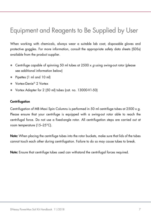## <span id="page-6-0"></span>Equipment and Reagents to Be Supplied by User

When working with chemicals, always wear a suitable lab coat, disposable gloves and protective goggles. For more information, consult the appropriate safety data sheets (SDSs) available from the product supplier.

- Centrifuge capable of spinning 50 ml tubes at 2500 x  $q$  using swing-out rotor (please see additional information below)
- Pipettes (1 ml and 10 ml)
- Vortex-Genie<sup>®</sup> 2 Vortex
- Vortex Adapter for 2 (50 ml) tubes (cat. no. 13000-V1-50)

#### **Centrifugation**

Centrifugation of MB Maxi Spin Columns is performed in 50 ml centrifuge tubes at 2500  $\times$  g. Please ensure that your centrifuge is equipped with a swing-out rotor able to reach the centrifugal force. Do not use a fixed-angle rotor. All centrifugation steps are carried out at room temperature (15–25°C).

Note: When placing the centrifuge tubes into the rotor buckets, make sure that lids of the tubes cannot touch each other during centrifugation. Failure to do so may cause tubes to break.

Note: Ensure that centrifuge tubes used can withstand the centrifugal forces required.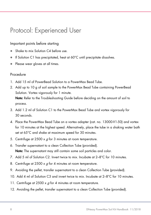### <span id="page-7-0"></span>Protocol: Experienced User

### Important points before starting

- Shake to mix Solution C4 before use.
- If Solution C1 has precipitated, heat at 60°C until precipitate dissolves.
- Please wear gloves at all times.

### Procedure

- 1. Add 15 ml of PowerBead Solution to a PowerMax Bead Tube.
- 2. Add up to 10 g of soil sample to the PowerMax Bead Tube containing PowerBead Solution. Vortex vigorously for 1 minute. Note: Refer to the Troubleshooting Guide before deciding on the amount of soil to process.
- 3. Add 1.2 ml of Solution C1 to the PowerMax Bead Tube and vortex vigorously for 30 seconds.
- 4. Place the PowerMax Bead Tube on a vortex adapter (cat. no. 13000-V1-50) and vortex for 10 minutes at the highest speed. Alternatively, place the tube in a shaking water bath set at 65°C and shake at maximum speed for 30 minutes.
- 5. Centrifuge at 2500 x  $g$  for 3 minutes at room temperature.
- 6. Transfer supernatant to a clean Collection Tube (provided). Note: The supernatant may still contain some soil particles and color.
- 7. Add 5 ml of Solution C2. Invert twice to mix. Incubate at 2–8°C for 10 minutes.
- 8. Centrifuge at 2500 x  $g$  for 4 minutes at room temperature.
- 9. Avoiding the pellet, transfer supernatant to a clean Collection Tube (provided).
- 10. Add 4 ml of Solution C3 and invert twice to mix. Incubate at 2–8°C for 10 minutes.
- 11. Centrifuge at 2500 x  $g$  for 4 minutes at room temperature.
- 12. Avoiding the pellet, transfer supernatant to a clean Collection Tube (provided).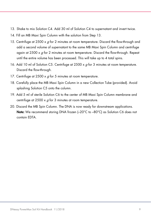- 13. Shake to mix Solution C4. Add 30 ml of Solution C4 to supernatant and invert twice.
- 14. Fill an MB Maxi Spin Column with the solution from Step 13.
- 15. Centrifuge at 2500  $\times$  g for 2 minutes at room temperature. Discard the flow-through and add a second volume of supernatant to the same MB Maxi Spin Column and centrifuge again at 2500  $\times$  g for 2 minutes at room temperature. Discard the flow-through. Repeat until the entire volume has been processed. This will take up to 4 total spins.
- 16. Add 10 ml of Solution C5. Centrifuge at  $2500 \times g$  for 3 minutes at room temperature. Discard the flow-through.
- 17. Centrifuge at  $2500 \times a$  for 5 minutes at room temperature.
- 18. Carefully place the MB Maxi Spin Column in a new Collection Tube (provided). Avoid splashing Solution C5 onto the column.
- 19. Add 5 ml of sterile Solution C6 to the center of MB Maxi Spin Column membrane and centrifuge at  $2500 \times q$  for 3 minutes at room temperature.
- 20. Discard the MB Spin Column. The DNA is now ready for downstream applications. Note: We recommend storing DNA frozen  $(-20^{\circ}C)$  to  $-80^{\circ}C$  as Solution C6 does not contain EDTA.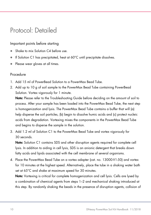### <span id="page-9-0"></span>Protocol: Detailed

Important points before starting

- Shake to mix Solution C4 before use.
- If Solution C1 has precipitated, heat at 60°C until precipitate dissolves.
- Please wear gloves at all times.

### Procedure

- 1. Add 15 ml of PowerBead Solution to a PowerMax Bead Tube.
- 2. Add up to 10 g of soil sample to the PowerMax Bead Tube containing PowerBead Solution. Vortex vigorously for 1 minute.

Note: Please refer to the Troubleshooting Guide before deciding on the amount of soil to process. After your sample has been loaded into the PowerMax Bead Tube, the next step is homogenization and lysis. The PowerMax Bead Tube contains a buffer that will (a) help disperse the soil particles, (b) begin to dissolve humic acids and (c) protect nucleic acids from degradation. Vortexing mixes the components in the PowerMax Bead Tube and begins to disperse the sample in the solution.

3. Add 1.2 ml of Solution C1 to the PowerMax Bead Tube and vortex vigorously for 30 seconds.

Note: Solution C1 contains SDS and other disruption agents required for complete cell lysis. In addition to aiding in cell lysis, SDS is an anionic detergent that breaks down fatty acids and lipids associated with the cell membrane of several organisms.

4. Place the PowerMax Bead Tube on a vortex adapter (cat. no. 13000-V1-50) and vortex for 10 minutes at the highest speed. Alternatively, place the tube in a shaking water bath set at 65°C and shake at maximum speed for 30 minutes.

Note: Vortexing is critical for complete homogenization and cell lysis. Cells are lysed by a combination of chemical agents from steps 1–2 and mechanical shaking introduced at this step. By randomly shaking the beads in the presence of disruption agents, collision of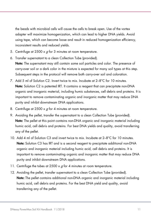the beads with microbial cells will cause the cells to break open. Use of the vortex adapter will maximize homogenization, which can lead to higher DNA yields. Avoid using tape, which can become loose and result in reduced homogenization efficiency, inconsistent results and reduced yields.

- 5. Centrifuge at 2500  $\times$  g for 3 minutes at room temperature.
- 6. Transfer supernatant to a clean Collection Tube (provided). Note: The supernatant may still contain some soil particles and color. The presence of carry-over soil or a dark color in the mixture is expected for many soil types at this step. Subsequent steps in the protocol will remove both carry-over soil and coloration.
- 7. Add 5 ml of Solution C2. Invert twice to mix. Incubate at 2–8°C for 10 minutes. Note: Solution C2 is patented IRT. It contains a reagent that can precipitate non-DNA organic and inorganic material, including humic substances, cell debris and proteins. It is important to remove contaminating organic and inorganic matter that may reduce DNA purity and inhibit downstream DNA applications.
- 8. Centrifuge at  $2500 \times g$  for 4 minutes at room temperature.
- 9. Avoiding the pellet, transfer the supernatant to a clean Collection Tube (provided). Note: The pellet at this point contains non-DNA organic and inorganic material including humic acid, cell debris and proteins. For best DNA yields and quality, avoid transferring any of the pellet.
- 10. Add 4 ml of Solution C3 and invert twice to mix. Incubate at 2–8°C for 10 minutes. Note: Solution C3 has IRT and is a second reagent to precipitate additional non-DNA organic and inorganic material including humic acid, cell debris and proteins. It is important to remove contaminating organic and inorganic matter that may reduce DNA purity and inhibit downstream DNA applications.
- 11. Centrifuge the tubes at 2500 x  $q$  for 4 minutes at room temperature.
- 12. Avoiding the pellet, transfer supernatant to a clean Collection Tube (provided). Note: The pellet contains additional non-DNA organic and inorganic material including humic acid, cell debris and proteins. For the best DNA yield and quality, avoid transferring any of the pellet.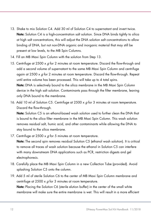- 13. Shake to mix Solution C4. Add 30 ml of Solution C4 to supernatant and invert twice. Note: Solution C4 is a high-concentration salt solution. Since DNA binds tightly to silica at high salt concentrations, this will adjust the DNA solution salt concentrations to allow binding of DNA, but not non-DNA organic and inorganic material that may still be present at low levels, to the MB Spin Columns.
- 14. Fill an MB Maxi Spin Column with the solution from Step 13.
- 15. Centrifuge at 2500  $\times$  g for 2 minutes at room temperature. Discard the flow-through and add a second volume of supernatant to the same MB Maxi Spin Column and centrifuge again at  $2500 \times g$  for 2 minutes at room temperature. Discard the flow-through. Repeat until entire volume has been processed. This will take up to 4 total spins. Note: DNA is selectively bound to the silica membrane in the MB Maxi Spin Column device in the high salt solution. Contaminants pass through the filter membrane, leaving only DNA bound to the membrane.
- 16. Add 10 ml of Solution C5. Centrifuge at  $2500 \times g$  for 3 minutes at room temperature. Discard the flow-through.

Note: Solution C5 is an ethanol-based wash solution used to further clean the DNA that is bound to the silica filter membrane in the MB Maxi Spin Column. This wash solution removes residual salt, humic acid, and other contaminants while allowing the DNA to stay bound to the silica membrane.

17. Centrifuge at  $2500 \times a$  for 5 minutes at room temperature.

Note: The second spin removes residual Solution C5 (ethanol wash solution). It is critical to remove all traces of wash solution because the ethanol in Solution C5 can interfere with many downstream DNA applications such as PCR, restriction digests and gel electrophoresis.

18. Carefully place the MB Maxi Spin Column in a new Collection Tube (provided). Avoid splashing Solution C5 onto the column.

19. Add 5 ml of sterile Solution C6 to the center of MB Maxi Spin Column membrane and centrifuge at  $2500 \times g$  for 3 minutes at room temperature. Note: Placing the Solution C6 (sterile elution buffer) in the center of the small white membrane will make sure the entire membrane is wet. This will result in a more efficient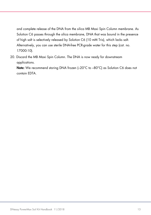and complete release of the DNA from the silica MB Maxi Spin Column membrane. As Solution C6 passes through the silica membrane, DNA that was bound in the presence of high salt is selectively released by Solution C6 (10 mM Tris), which lacks salt. Alternatively, you can use sterile DNA-free PCR-grade water for this step (cat. no. 17000-10).

20. Discard the MB Maxi Spin Column. The DNA is now ready for downstream applications.

Note: We recommend storing DNA frozen (-20°C to -80°C) as Solution C6 does not contain EDTA.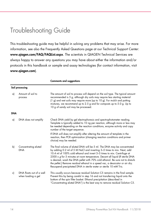### <span id="page-13-0"></span>Troubleshooting Guide

This troubleshooting guide may be helpful in solving any problems that may arise. For more information, see also the Frequently Asked Questions page at our Technical Support Center: [www.qiagen.com/FAQ/FAQList.aspx](https://www.qiagen.com/de/support/faqs/?akamai-feo=off). The scientists in QIAGEN Technical Services are always happy to answer any questions you may have about either the information and/or protocols in this handbook or sample and assay technologies (for contact information, visit [www.qiagen.com](https://www.qiagen.com/us/)).

|            |                                                | <b>Comments and suggestions</b>                                                                                                                                                                                                                                                                                                                                                                                                                                                                                                                          |  |  |  |
|------------|------------------------------------------------|----------------------------------------------------------------------------------------------------------------------------------------------------------------------------------------------------------------------------------------------------------------------------------------------------------------------------------------------------------------------------------------------------------------------------------------------------------------------------------------------------------------------------------------------------------|--|--|--|
|            | Soil processing                                |                                                                                                                                                                                                                                                                                                                                                                                                                                                                                                                                                          |  |  |  |
| a)         | Amount of soil to<br>process                   | The amount of soil to process will depend on the soil type. The typical amount<br>recommended is 5 g, although dry soils may require less starting material<br>(1 g) and wet soils may require more (up to 10 g). For mulch and potting<br>mixtures, we recommend up to 2.5 g and for composts up to 5.0 g. Up to<br>10 g of sandy soil may be processed.                                                                                                                                                                                                |  |  |  |
| <b>DNA</b> |                                                |                                                                                                                                                                                                                                                                                                                                                                                                                                                                                                                                                          |  |  |  |
| a)         | DNA does not amplify                           | Check DNA yield by gel electrophoresis and spectrophotometer reading.<br>Template is typically added to 10 ng per reaction, although more or less may<br>be needed depending on the reaction conditions, enzyme activity and copy<br>number of the target sequence.                                                                                                                                                                                                                                                                                      |  |  |  |
|            |                                                | If DNA will does not amplify after altering the amount of template in the<br>reaction, then PCR optimization (changing reaction conditions and primer<br>choice) may be needed.                                                                                                                                                                                                                                                                                                                                                                          |  |  |  |
| b)         | Concentrating eluted<br><b>DNA</b>             | The final volume of eluted DNA will be 5 ml. The DNA may be concentrated<br>by adding 0.2 ml of 5 M NaCl and inverting 3–5 times to mix. Next, add<br>10.4 ml of 100% cold ethanol and invert 3-5 times to mix. Centrifuge at<br>2500 x $g$ for 5 minutes at room temperature. Decant all liquid (If sterile DNA<br>is desired, wash the DNA pellet with 70% cold ethanol. Be sure not to disturb<br>the pellet.) Remove residual ethanol in a speed vac, a dessicator or air dry.<br>Resuspend precipitated DNA in sterile water or sterile 10 mM Tris. |  |  |  |
| c)         | DNA floats out of a well<br>when loading a gel | This usually occurs because residual Solution C5 remains in the final sample.<br>Prevent this by being careful in step 16 and not transferring liquid onto the<br>bottom of the spin filter basket. Ethanol precipitation (described in<br>"Concentrating eluted DNA") is the best way to remove residual Solution C5.                                                                                                                                                                                                                                   |  |  |  |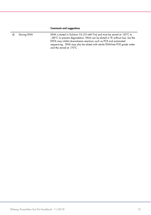#### Comments and suggestions

d) Storing DNA DNA is eluted in Solution C6 (10 mM Tris) and must be stored at –20°C to –-80°C to prevent degradation. DNA can be eluted in TE without loss, but the EDTA may inhibit downstream reactions such as PCR and automated sequencing. DNA may also be eluted with sterile DNA-free PCR grade water and the stored at –70°C.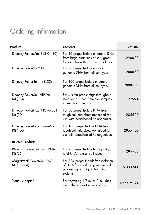# <span id="page-15-0"></span>Ordering Information

| Product                                         | <b>Contents</b>                                                                                                      | Cat. no.    |
|-------------------------------------------------|----------------------------------------------------------------------------------------------------------------------|-------------|
| DNeasy PowerMax Soil Kit (10)                   | For 10 preps: Isolate microbial DNA<br>from large quantities of soil; great<br>for samples with low microbial load   | 12988-10    |
| DNeasy PowerSoil® Kit (50)                      | For 50 preps: Isolate microbial<br>genomic DNA from all soil types                                                   | 12888-50    |
| DNeasy PowerSoil Kit (100)                      | For 100 preps: Isolate microbial<br>genomic DNA from all soil types                                                  | 12888-100   |
| DNeasy PowerSoil HTP 96<br>Kit (384)            | For 4 x 96 preps: High-throughput<br>isolation of DNA from soil samples<br>in less than one day                      | 12955-4     |
| DNeasy PowerLyzer® PowerSoil<br>Kit (50)        | For 50 preps: Isolate DNA from<br>tough soil microbes; optimized for<br>use with bead-based homogenizers             | 12855-50    |
| <b>DNeasy PowerLyzer PowerSoil</b><br>Kit (100) | For 100 preps: Isolate DNA from<br>tough soil microbes; optimized for<br>use with bead-based homogenizers            | 12855-100   |
| <b>Related Products</b>                         |                                                                                                                      |             |
| RNeasy® PowerSoil Total RNA<br>Kit (25)         | For 25 preps: Isolate high-quality<br>total RNA from all soil types                                                  | 12866-25    |
| MagAttract® PowerSoil DNA<br>KF Kit (384)       | For 384 preps: Hands-free isolation<br>of DNA from soil using automated<br>processing and liquid handling<br>systems | 27000-4-KF  |
| Vortex Adapter                                  | For vortexing 1.7 ml or 2 ml tubes<br>using the Vortex-Genie 2 Vortex                                                | 13000-V1-24 |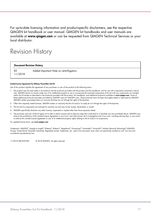For up-to-date licensing information and product-specific disclaimers, see the respective QIAGEN kit handbook or user manual. QIAGEN kit handbooks and user manuals are available at [www.qiagen.com](http://www.qiagen.com/) or can be requested from QIAGEN Technical Services or your local distributor.

### <span id="page-16-0"></span>Revision History

#### Document Revision History

R2 11/2018 Added Important Note on centrifugation.

#### Limited License Agreement for DNeasy PowerMax Soil Kit

Use of this product signifies the agreement of any purchaser or user of the product to the following terms:

- 1. The product may be used solely in accordance with the protocols provided with the product and this handbook, and for use with components contained in the kit only. QIAGEN grants no license under any of its intellectual property to use or incorporate the enclosed components of this kit with any components not included within this kit except as described in the protocols provided with the product, this handbook, and additional protocols available at [www.qiagen.com](https://www.qiagen.com/us/). Some of these additional protocols have been provided by QIAGEN users for QIAGEN users. These protocols have not been thoroughly tested or optimized by QIAGEN. QIAGEN neither guarantees them nor warrants that they do not infringe the rights of third-parties.
- 2. Other than expressly stated licenses, QIAGEN makes no warranty that this kit and/or its use(s) do not infringe the rights of third-parties.
- 3. This kit and its components are licensed for one-time use and may not be reused, refurbished, or resold.
- 4. QIAGEN specifically disclaims any other licenses, expressed or implied other than those expressly stated.
- 5. The purchaser and user of the kit agree not to take or permit anyone else to take any steps that could lead to or facilitate any acts prohibited above. QIAGEN may enforce the prohibitions of this Limited License Agreement in any Court, and shall recover all its investigative and Court costs, including attorney fees, in any action to enforce this Limited License Agreement or any of its intellectual property rights relating to the kit and/or its components.

For updated license terms, see www.aiagen.com

Trademarks: QIAGEN®, Sample to Insight®, DNeasy®, RNeasy®, MagAttract®, PowerLyzer®, PowerMax®, PowerSoil®, Inhibitor Removal Technology® (QIAGEN Group), Vortex-Genie® (Scientific Industries). Registered names, trademarks, etc. used in this document, even when not specifically marked as such, are not to be considered unprotected by law.

11/2018 HB-2259-002 © 2018 QIAGEN, all rights reserved.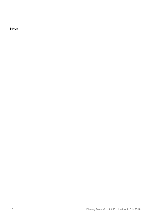**Notes**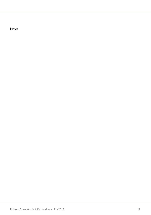**Notes**